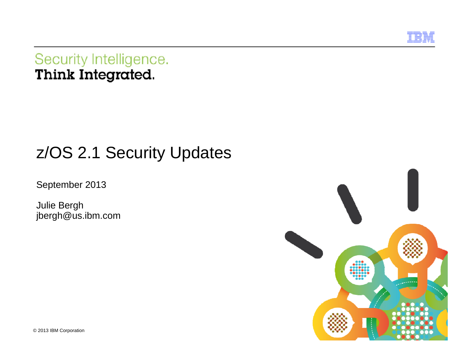

Security Intelligence. Think Integrated.

# z/OS 2.1 Security Updates

September 2013

Julie Bergh jbergh@us.ibm.com



© 2013 IBM Corporation 1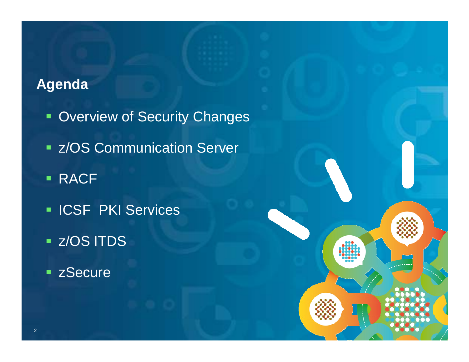## **Agenda**

- **Overview of Security Changes**
- **EXACS Communication Server**

© 2012 IBM Corporation

- $\blacksquare$ **• RACF**
- **ICSF PKI Services**
- z/OS ITDS
- **Example 2 Secure**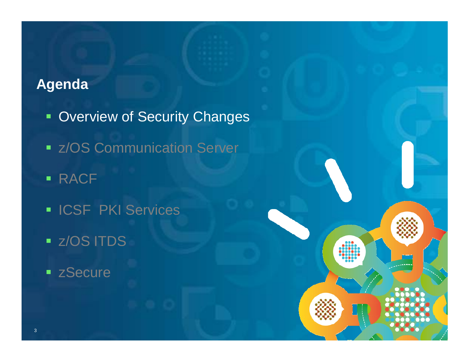## **Agenda**

- **Overview of Security Changes**
- **EXACTE COMMUNICATION Server**

© 2012 IBM Corporation

- RACF
- **ICSF PKI Services**
- z/OS ITDS
- **Execure**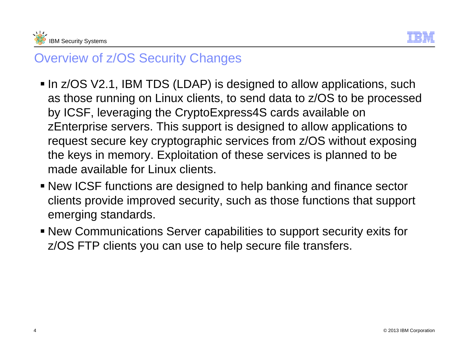



## Overview of z/OS Security Changes

- In z/OS V2.1, IBM TDS (LDAP) is designed to allow applications, such as those running on Linux clients, to send data to z/OS to be processed by ICSF, leveraging the CryptoExpress4S cards available on zEnterprise servers. This support is designed to allow applications to request secure key cryptographic services from z/OS without exposing the keys in memory. Exploitation of these services is planned to be made available for Linux clients.
- New ICSF functions are designed to help banking and finance sector clients provide improved security, such as those functions that support emerging standards.
- New Communications Server capabilities to support security exits for z/OS FTP clients you can use to help secure file transfers.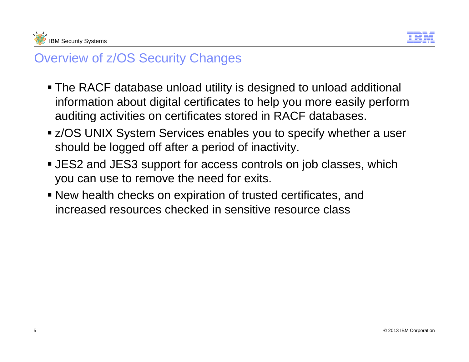



## Overview of z/OS Security Changes

- The RACF database unload utility is designed to unload additional information about digital certificates to help you more easily perform auditing activities on certificates stored in RACF databases.
- z/OS UNIX System Services enables you to specify whether a user should be logged off after a period of inactivity.
- JES2 and JES3 support for access controls on job classes, which you can use to remove the need for exits.
- New health checks on expiration of trusted certificates, and increased resources checked in sensitive resource class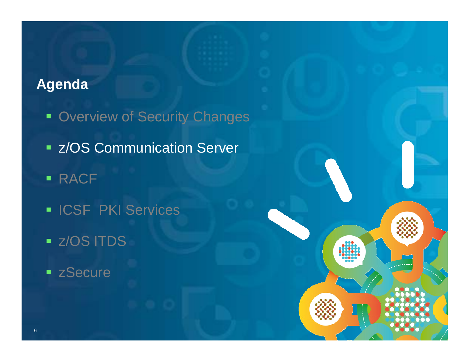## **Agenda**

- **Overview of Security Changes**
- **EXACS Communication Server**

© 2013 IBM Corporation

- RACF
- **ICSF PKI Services**
- z/OS ITDS
- **Execure**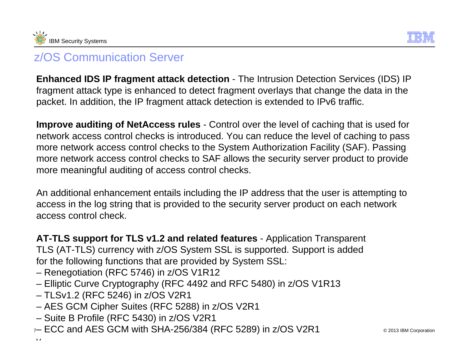



**Enhanced IDS IP fragment attack detection** - The Intrusion Detection Services (IDS) IP fragment attack type is enhanced to detect fragment overlays that change the data in the packet. In addition, the IP fragment attack detection is extended to IPv6 traffic.

**Improve auditing of NetAccess rules** - Control over the level of caching that is used for network access control checks is introduced. You can reduce the level of caching to pass more network access control checks to the System Authorization Facility (SAF). Passing more network access control checks to SAF allows the security server product to provide more meaningful auditing of access control checks.

An additional enhancement entails including the IP address that the user is attempting to access in the log string that is provided to the security server product on each network access control check.

**AT-TLS support for TLS v1.2 and related features** - Application Transparent TLS (AT-TLS) currency with z/OS System SSL is supported. Support is added for the following functions that are provided by System SSL:

- Renegotiation (RFC 5746) in z/OS V1R12
- Elliptic Curve Cryptography (RFC 4492 and RFC 5480) in z/OS V1R13
- TLSv1.2 (RFC 5246) in z/OS V2R1
- AES GCM Cipher Suites (RFC 5288) in z/OS V2R1
- Suite B Profile (RFC 5430) in z/OS V2R1
- 7 ECC and AES GCM with SHA-256/384 (RFC 5289) in z/OS V2R1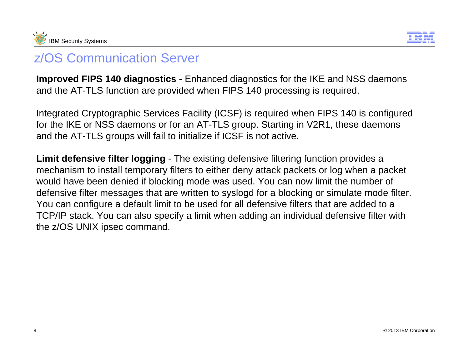



**Improved FIPS 140 diagnostics** - Enhanced diagnostics for the IKE and NSS daemons and the AT-TLS function are provided when FIPS 140 processing is required.

Integrated Cryptographic Services Facility (ICSF) is required when FIPS 140 is configured for the IKE or NSS daemons or for an AT-TLS group. Starting in V2R1, these daemons and the AT-TLS groups will fail to initialize if ICSF is not active.

**Limit defensive filter logging** - The existing defensive filtering function provides a mechanism to install temporary filters to either deny attack packets or log when a packet would have been denied if blocking mode was used. You can now limit the number of defensive filter messages that are written to syslogd for a blocking or simulate mode filter. You can configure a default limit to be used for all defensive filters that are added to a TCP/IP stack. You can also specify a limit when adding an individual defensive filter with the z/OS UNIX ipsec command.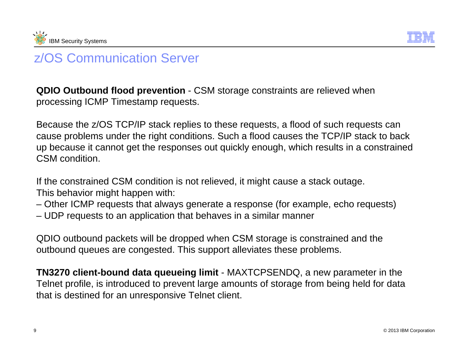



**QDIO Outbound flood prevention** - CSM storage constraints are relieved when processing ICMP Timestamp requests.

Because the z/OS TCP/IP stack replies to these requests, a flood of such requests can cause problems under the right conditions. Such a flood causes the TCP/IP stack to back up because it cannot get the responses out quickly enough, which results in a constrained CSM condition.

If the constrained CSM condition is not relieved, it might cause a stack outage. This behavior might happen with:

- Other ICMP requests that always generate a response (for example, echo requests)
- UDP requests to an application that behaves in a similar manner

QDIO outbound packets will be dropped when CSM storage is constrained and the outbound queues are congested. This support alleviates these problems.

**TN3270 client-bound data queueing limit** - MAXTCPSENDQ, a new parameter in the Telnet profile, is introduced to prevent large amounts of storage from being held for data that is destined for an unresponsive Telnet client.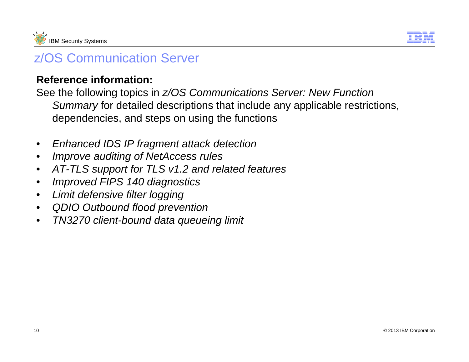



#### **Reference information:**

See the following topics in *z/OS Communications Server: New Function Summary* for detailed descriptions that include any applicable restrictions, dependencies, and steps on using the functions

- $\bullet$ *Enhanced IDS IP fragment attack detection*
- $\bullet$ *Improve auditing of NetAccess rules*
- $\bullet$ *AT-TLS support for TLS v1.2 and related features*
- $\bullet$ *Improved FIPS 140 diagnostics*
- $\bullet$ *Limit defensive filter logging*
- $\bullet$ *QDIO Outbound flood prevention*
- $\bullet$ *TN3270 client-bound data queueing limit*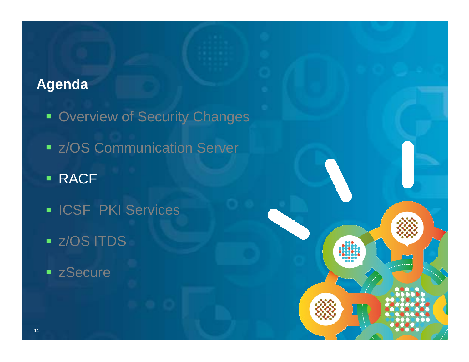## **Agenda**

- **Overview of Security Changes**
- **EXACTE COMMUNICATION Server**

© 2013 IBM Corporation

- **RACF**
- **ICSF PKI Services**
- z/OS ITDS
- **Execure**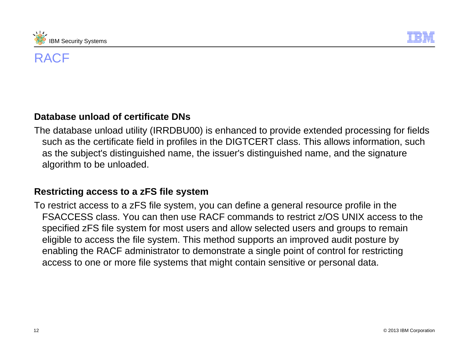



#### **Database unload of certificate DNs**

The database unload utility (IRRDBU00) is enhanced to provide extended processing for fields such as the certificate field in profiles in the DIGTCERT class. This allows information, such as the subject's distinguished name, the issuer's distinguished name, and the signature algorithm to be unloaded.

#### **Restricting access to a zFS file system**

To restrict access to a zFS file system, you can define a general resource profile in the FSACCESS class. You can then use RACF commands to restrict z/OS UNIX access to the specified zFS file system for most users and allow selected users and groups to remain eligible to access the file system. This method supports an improved audit posture by enabling the RACF administrator to demonstrate a single point of control for restricting access to one or more file systems that might contain sensitive or personal data.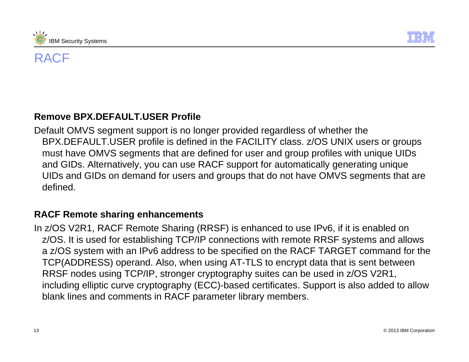



#### **Remove BPX.DEFAULT.USER Profile**

Default OMVS segment support is no longer provided regardless of whether the BPX.DEFAULT.USER profile is defined in the FACILITY class. z/OS UNIX users or groups must have OMVS segments that are defined for user and group profiles with unique UIDs and GIDs. Alternatively, you can use RACF support for automatically generating unique UIDs and GIDs on demand for users and groups that do not have OMVS segments that are defined.

#### **RACF Remote sharing enhancements**

In z/OS V2R1, RACF Remote Sharing (RRSF) is enhanced to use IPv6, if it is enabled on z/OS. It is used for establishing TCP/IP connections with remote RRSF systems and allows a z/OS system with an IPv6 address to be specified on the RACF TARGET command for the TCP(ADDRESS) operand. Also, when using AT-TLS to encrypt data that is sent between RRSF nodes using TCP/IP, stronger cryptography suites can be used in z/OS V2R1, including elliptic curve cryptography (ECC)-based certificates. Support is also added to allow blank lines and comments in RACF parameter library members.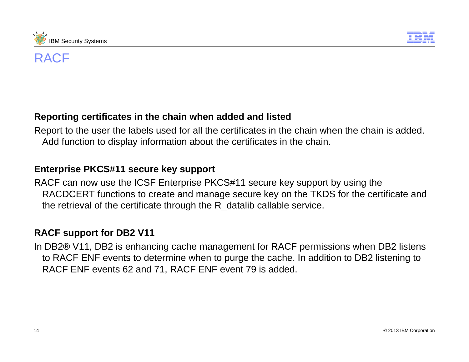



#### **Reporting certificates in the chain when added and listed**

Report to the user the labels used for all the certificates in the chain when the chain is added. Add function to display information about the certificates in the chain.

#### **Enterprise PKCS#11 secure key support**

RACF can now use the ICSF Enterprise PKCS#11 secure key support by using the RACDCERT functions to create and manage secure key on the TKDS for the certificate and the retrieval of the certificate through the R\_datalib callable service.

#### **RACF support for DB2 V11**

In DB2® V11, DB2 is enhancing cache management for RACF permissions when DB2 listens to RACF ENF events to determine when to purge the cache. In addition to DB2 listening to RACF ENF events 62 and 71, RACF ENF event 79 is added.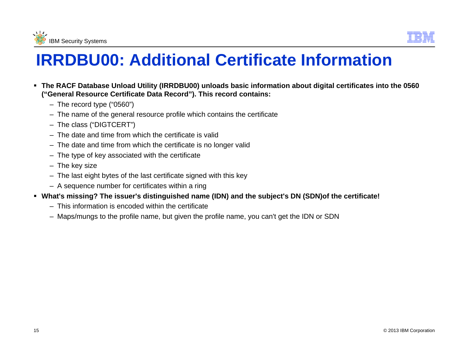



# **IRRDBU00: Additional Certificate Information**

- **The RACF Database Unload Utility (IRRDBU00) unloads basic information about digital certificates into the 0560 ("General Resource Certificate Data Record"). This record contains:**
	- The record type ("0560")
	- The name of the general resource profile which contains the certificate
	- The class ("DIGTCERT")
	- The date and time from which the certificate is valid
	- The date and time from which the certificate is no longer valid
	- The type of key associated with the certificate
	- The key size
	- The last eight bytes of the last certificate signed with this key
	- A sequence number for certificates within a ring
- **What's missing? The issuer's distinguished name (IDN) and the subject's DN (SDN)of the certificate!**
	- This information is encoded within the certificate
	- Maps/mungs to the profile name, but given the profile name, you can't get the IDN or SDN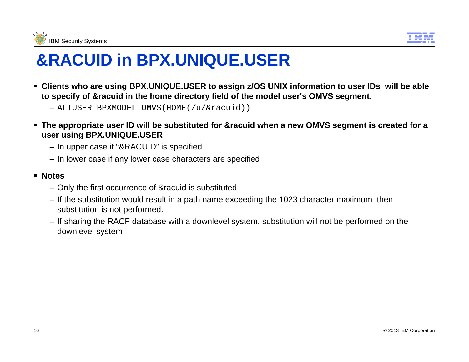



# **&RACUID in BPX.UNIQUE.USER**

- **Clients who are using BPX.UNIQUE.USER to assign z/OS UNIX information to user IDs will be able to specify of &racuid in the home directory field of the model user's OMVS segment.**
	- ALTUSER BPXMODEL OMVS(HOME(/u/&racuid))
- **The appropriate user ID will be substituted for &racuid when a new OMVS segment is created for a user using BPX.UNIQUE.USER**
	- In upper case if "&RACUID" is specified
	- In lower case if any lower case characters are specified
- **Notes**
	- Only the first occurrence of &racuid is substituted
	- If the substitution would result in a path name exceeding the 1023 character maximum then substitution is not performed.
	- If sharing the RACF database with a downlevel system, substitution will not be performed on the downlevel system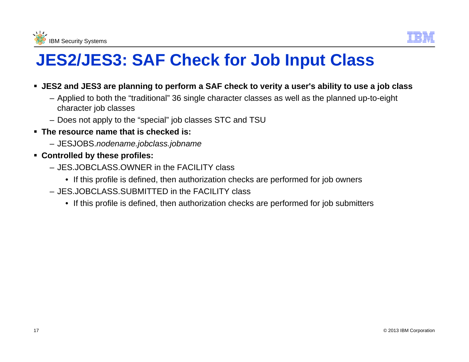



# **JES2/JES3: SAF Check for Job Input Class**

- **JES2 and JES3 are planning to perform a SAF check to verity a user's ability to use a job class**
	- Applied to both the "traditional" 36 single character classes as well as the planned up-to-eight character job classes
	- Does not apply to the "special" job classes STC and TSU
- **The resource name that is checked is:**
	- JESJOBS.*nodename.jobclass.jobname*
- **Controlled by these profiles:**
	- JES.JOBCLASS.OWNER in the FACILITY class
		- If this profile is defined, then authorization checks are performed for job owners
	- JES.JOBCLASS.SUBMITTED in the FACILITY class
		- If this profile is defined, then authorization checks are performed for job submitters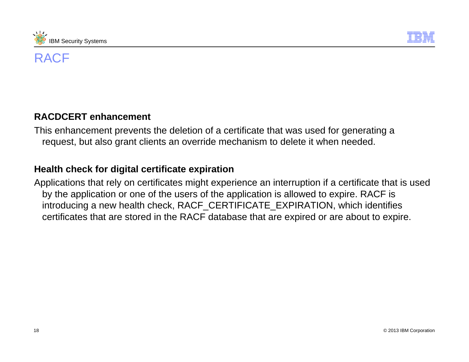



#### **RACDCERT enhancement**

This enhancement prevents the deletion of a certificate that was used for generating a request, but also grant clients an override mechanism to delete it when needed.

#### **Health check for digital certificate expiration**

Applications that rely on certificates might experience an interruption if a certificate that is used by the application or one of the users of the application is allowed to expire. RACF is introducing a new health check, RACF\_CERTIFICATE\_EXPIRATION, which identifies certificates that are stored in the RACF database that are expired or are about to expire.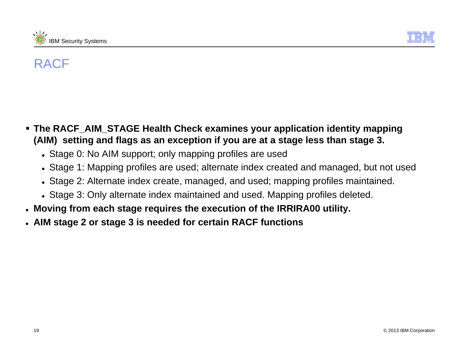



- **The RACF\_AIM\_STAGE Health Check examines your application identity mapping (AIM) setting and flags as an exception if you are at a stage less than stage 3.**
	- Stage 0: No AIM support; only mapping profiles are used
	- Stage 1: Mapping profiles are used; alternate index created and managed, but not used
	- Stage 2: Alternate index create, managed, and used; mapping profiles maintained.
	- Stage 3: Only alternate index maintained and used. Mapping profiles deleted.
- z **Moving from each stage requires the execution of the IRRIRA00 utility.**
- z **AIM stage 2 or stage 3 is needed for certain RACF functions**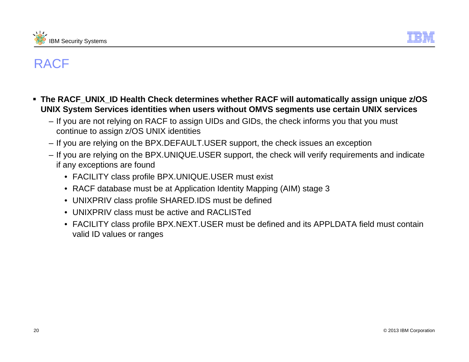



- **The RACF\_UNIX\_ID Health Check determines whether RACF will automatically assign unique z/OS UNIX System Services identities when users without OMVS segments use certain UNIX services**
	- If you are not relying on RACF to assign UIDs and GIDs, the check informs you that you must continue to assign z/OS UNIX identities
	- If you are relying on the BPX.DEFAULT.USER support, the check issues an exception
	- If you are relying on the BPX.UNIQUE.USER support, the check will verify requirements and indicate if any exceptions are found
		- FACILITY class profile BPX.UNIQUE.USER must exist
		- RACF database must be at Application Identity Mapping (AIM) stage 3
		- UNIXPRIV class profile SHARED.IDS must be defined
		- UNIXPRIV class must be active and RACLISTed
		- FACILITY class profile BPX.NEXT.USER must be defined and its APPLDATA field must contain valid ID values or ranges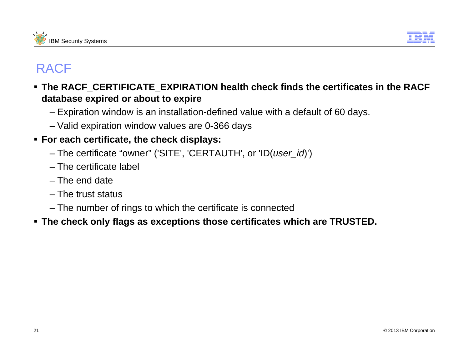



- **The RACF\_CERTIFICATE\_EXPIRATION health check finds the certificates in the RACF database expired or about to expire**
	- Expiration window is an installation-defined value with a default of 60 days.
	- Valid expiration window values are 0-366 days

#### **For each certificate, the check displays:**

- The certificate "owner" ('SITE', 'CERTAUTH', or 'ID(*user\_id*)')
- The certificate label
- The end date
- The trust status
- The number of rings to which the certificate is connected
- **The check only flags as exceptions those certificates which are TRUSTED.**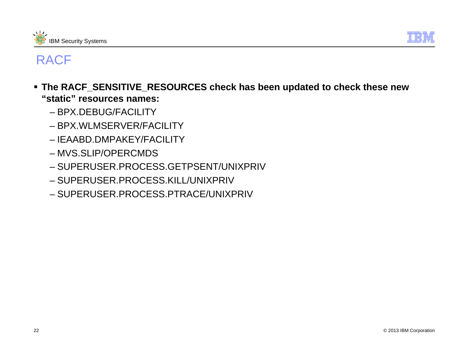



- **The RACF\_SENSITIVE\_RESOURCES check has been updated to check these new "static" resources names:**
	- BPX.DEBUG/FACILITY
	- BPX.WLMSERVER/FACILITY
	- IEAABD.DMPAKEY/FACILITY
	- MVS.SLIP/OPERCMDS
	- SUPERUSER.PROCESS.GETPSENT/UNIXPRIV
	- SUPERUSER.PROCESS.KILL/UNIXPRIV
	- SUPERUSER.PROCESS.PTRACE/UNIXPRIV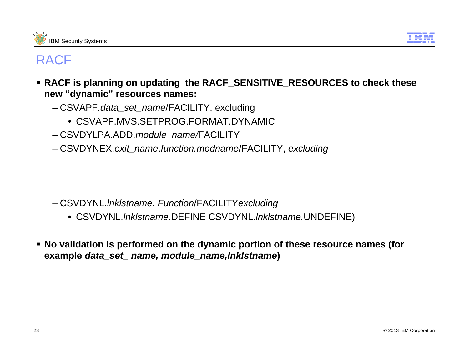



- **RACF is planning on updating the RACF\_SENSITIVE\_RESOURCES to check these new "dynamic" resources names:**
	- CSVAPF.*data\_set\_name*/FACILITY, excluding
		- CSVAPF.MVS.SETPROG.FORMAT.DYNAMIC
	- CSVDYLPA.ADD.*module\_name/*FACILITY
	- CSVDYNEX.*exit\_name*.*function.modname*/FACILITY, *excluding*

- CSVDYNL.*lnklstname. Function*/FACILITY*excluding*
	- CSVDYNL.*lnklstname*.DEFINE CSVDYNL.*lnklstname.*UNDEFINE)
- **No validation is performed on the dynamic portion of these resource names (for example** *data\_set\_ name, module\_name,lnklstname***)**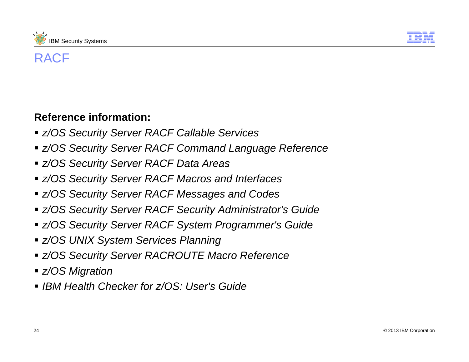



### **Reference information:**

- *z/OS Security Server RACF Callable Services*
- *z/OS Security Server RACF Command Language Reference*
- *z/OS Security Server RACF Data Areas*
- *z/OS Security Server RACF Macros and Interfaces*
- *z/OS Security Server RACF Messages and Codes*
- *z/OS Security Server RACF Security Administrator's Guide*
- *z/OS Security Server RACF System Programmer's Guide*
- *z/OS UNIX System Services Planning*
- *z/OS Security Server RACROUTE Macro Reference*
- *z/OS Migration*
- *IBM Health Checker for z/OS: User's Guide*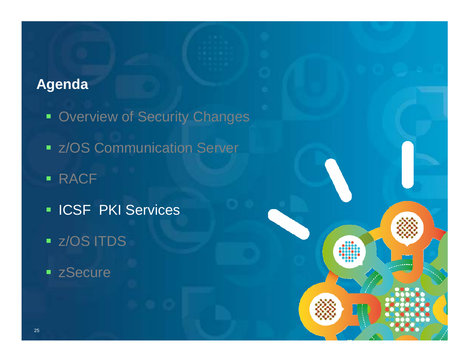## **Agenda**

- **Overview of Security Changes**
- **EXACTE COMMUNICATION Server**

© 2013 IBM Corporation

- RACF
- **ICSF PKI Services**
- z/OS ITDS
- **Execure**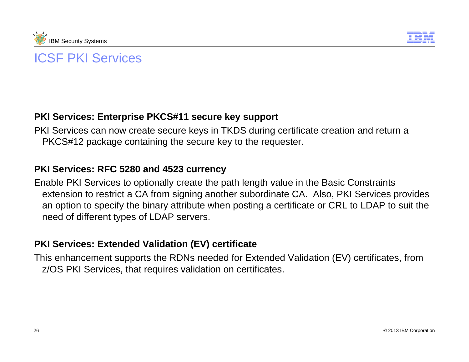



#### **PKI Services: Enterprise PKCS#11 secure key support**

PKI Services can now create secure keys in TKDS during certificate creation and return a PKCS#12 package containing the secure key to the requester.

#### **PKI Services: RFC 5280 and 4523 currency**

Enable PKI Services to optionally create the path length value in the Basic Constraints extension to restrict a CA from signing another subordinate CA. Also, PKI Services provides an option to specify the binary attribute when posting a certificate or CRL to LDAP to suit the need of different types of LDAP servers.

#### **PKI Services: Extended Validation (EV) certificate**

This enhancement supports the RDNs needed for Extended Validation (EV) certificates, from z/OS PKI Services, that requires validation on certificates.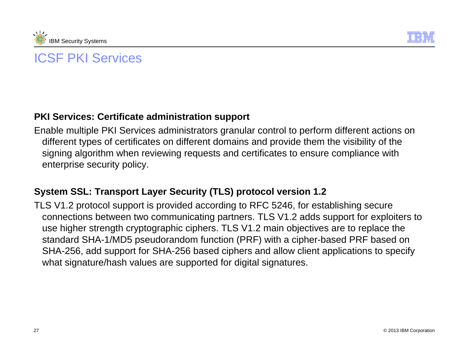



#### **PKI Services: Certificate administration support**

Enable multiple PKI Services administrators granular control to perform different actions on different types of certificates on different domains and provide them the visibility of the signing algorithm when reviewing requests and certificates to ensure compliance with enterprise security policy.

#### **System SSL: Transport Layer Security (TLS) protocol version 1.2**

TLS V1.2 protocol support is provided according to RFC 5246, for establishing secure connections between two communicating partners. TLS V1.2 adds support for exploiters to use higher strength cryptographic ciphers. TLS V1.2 main objectives are to replace the standard SHA-1/MD5 pseudorandom function (PRF) with a cipher-based PRF based on SHA-256, add support for SHA-256 based ciphers and allow client applications to specify what signature/hash values are supported for digital signatures.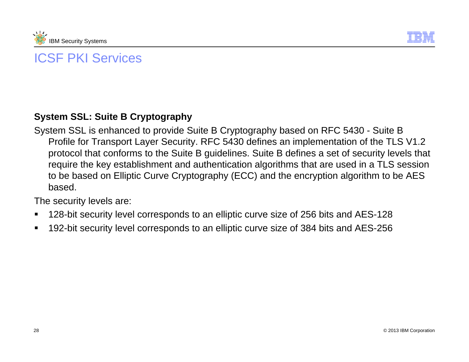



#### **System SSL: Suite B Cryptography**

System SSL is enhanced to provide Suite B Cryptography based on RFC 5430 - Suite B Profile for Transport Layer Security. RFC 5430 defines an implementation of the TLS V1.2 protocol that conforms to the Suite B guidelines. Suite B defines a set of security levels that require the key establishment and authentication algorithms that are used in a TLS session to be based on Elliptic Curve Cryptography (ECC) and the encryption algorithm to be AES based.

The security levels are:

- Е 128-bit security level corresponds to an elliptic curve size of 256 bits and AES-128
- Г 192-bit security level corresponds to an elliptic curve size of 384 bits and AES-256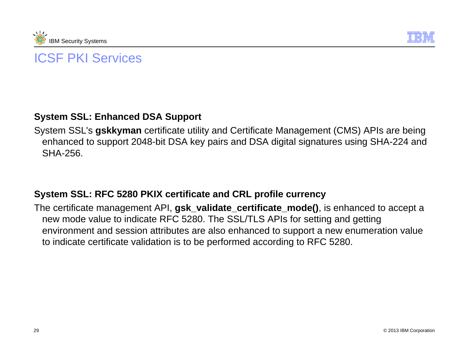



#### **System SSL: Enhanced DSA Support**

System SSL's **gskkyman** certificate utility and Certificate Management (CMS) APIs are being enhanced to support 2048-bit DSA key pairs and DSA digital signatures using SHA-224 and SHA-256.

#### **System SSL: RFC 5280 PKIX certificate and CRL profile currency**

The certificate management API, **gsk\_validate\_certificate\_mode()**, is enhanced to accept a new mode value to indicate RFC 5280. The SSL/TLS APIs for setting and getting environment and session attributes are also enhanced to support a new enumeration value to indicate certificate validation is to be performed according to RFC 5280.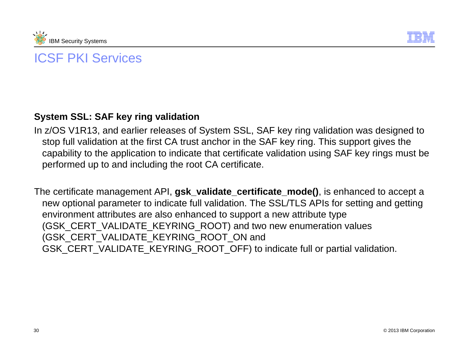



#### **System SSL: SAF key ring validation**

In z/OS V1R13, and earlier releases of System SSL, SAF key ring validation was designed to stop full validation at the first CA trust anchor in the SAF key ring. This support gives the capability to the application to indicate that certificate validation using SAF key rings must be performed up to and including the root CA certificate.

The certificate management API, **gsk\_validate\_certificate\_mode()**, is enhanced to accept a new optional parameter to indicate full validation. The SSL/TLS APIs for setting and getting environment attributes are also enhanced to support a new attribute type (GSK\_CERT\_VALIDATE\_KEYRING\_ROOT) and two new enumeration values (GSK\_CERT\_VALIDATE\_KEYRING\_ROOT\_ON and GSK\_CERT\_VALIDATE\_KEYRING\_ROOT\_OFF) to indicate full or partial validation.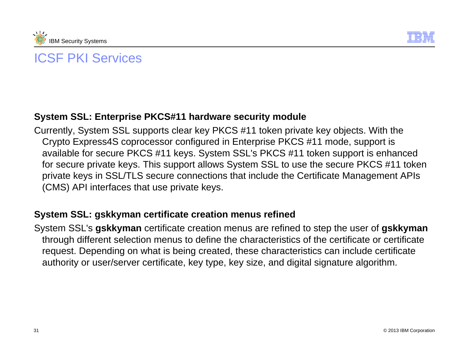



#### **System SSL: Enterprise PKCS#11 hardware security module**

Currently, System SSL supports clear key PKCS #11 token private key objects. With the Crypto Express4S coprocessor configured in Enterprise PKCS #11 mode, support is available for secure PKCS #11 keys. System SSL's PKCS #11 token support is enhanced for secure private keys. This support allows System SSL to use the secure PKCS #11 token private keys in SSL/TLS secure connections that include the Certificate Management APIs (CMS) API interfaces that use private keys.

#### **System SSL: gskkyman certificate creation menus refined**

System SSL's **gskkyman** certificate creation menus are refined to step the user of **gskkyman** through different selection menus to define the characteristics of the certificate or certificate request. Depending on what is being created, these characteristics can include certificate authority or user/server certificate, key type, key size, and digital signature algorithm.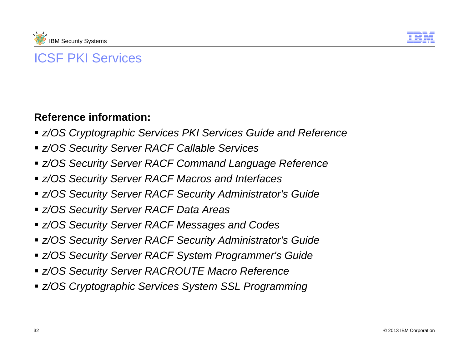



#### **Reference information:**

- *z/OS Cryptographic Services PKI Services Guide and Reference*
- *z/OS Security Server RACF Callable Services*
- *z/OS Security Server RACF Command Language Reference*
- *z/OS Security Server RACF Macros and Interfaces*
- *z/OS Security Server RACF Security Administrator's Guide*
- *z/OS Security Server RACF Data Areas*
- *z/OS Security Server RACF Messages and Codes*
- *z/OS Security Server RACF Security Administrator's Guide*
- *z/OS Security Server RACF System Programmer's Guide*
- *z/OS Security Server RACROUTE Macro Reference*
- *z/OS Cryptographic Services System SSL Programming*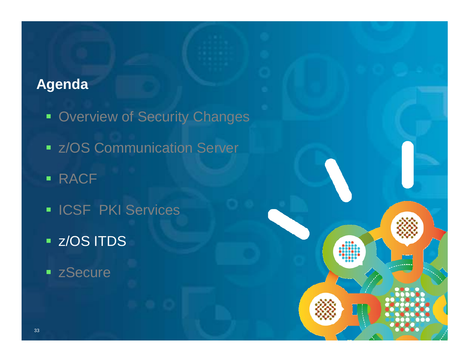## **Agenda**

- **Overview of Security Changes**
- **EXACTE COMMUNICATION Server**

© 2013 IBM Corporation

- RACF
- **ICSF PKI Services**
- z/OS ITDS
- **Execure**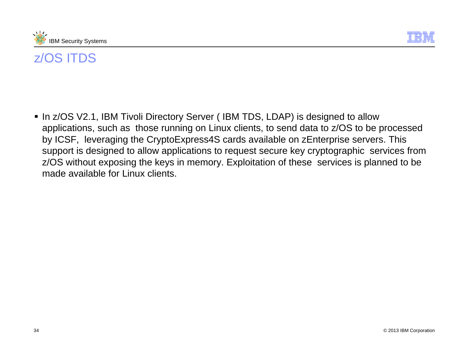



■ In z/OS V2.1, IBM Tivoli Directory Server ( IBM TDS, LDAP) is designed to allow applications, such as those running on Linux clients, to send data to z/OS to be processed by ICSF, leveraging the CryptoExpress4S cards available on zEnterprise servers. This support is designed to allow applications to request secure key cryptographic services from z/OS without exposing the keys in memory. Exploitation of these services is planned to be made available for Linux clients.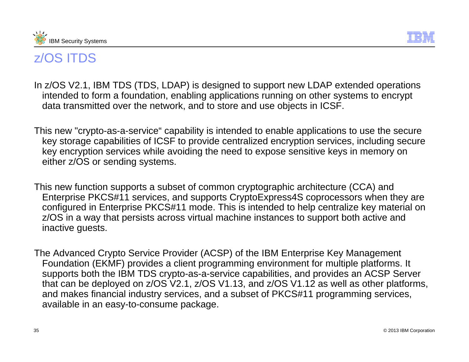



- In z/OS V2.1, IBM TDS (TDS, LDAP) is designed to support new LDAP extended operations intended to form a foundation, enabling applications running on other systems to encrypt data transmitted over the network, and to store and use objects in ICSF.
- This new "crypto-as-a-service" capability is intended to enable applications to use the secure key storage capabilities of ICSF to provide centralized encryption services, including secure key encryption services while avoiding the need to expose sensitive keys in memory on either z/OS or sending systems.
- This new function supports a subset of common cryptographic architecture (CCA) and Enterprise PKCS#11 services, and supports CryptoExpress4S coprocessors when they are configured in Enterprise PKCS#11 mode. This is intended to help centralize key material on z/OS in a way that persists across virtual machine instances to support both active and inactive guests.
- The Advanced Crypto Service Provider (ACSP) of the IBM Enterprise Key Management Foundation (EKMF) provides a client programming environment for multiple platforms. It supports both the IBM TDS crypto-as-a-service capabilities, and provides an ACSP Server that can be deployed on z/OS V2.1, z/OS V1.13, and z/OS V1.12 as well as other platforms, and makes financial industry services, and a subset of PKCS#11 programming services, available in an easy-to-consume package.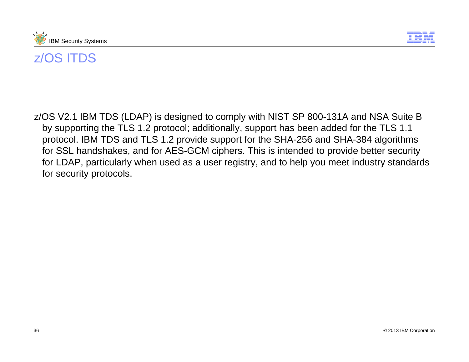



z/OS V2.1 IBM TDS (LDAP) is designed to comply with NIST SP 800-131A and NSA Suite B by supporting the TLS 1.2 protocol; additionally, support has been added for the TLS 1.1 protocol. IBM TDS and TLS 1.2 provide support for the SHA-256 and SHA-384 algorithms for SSL handshakes, and for AES-GCM ciphers. This is intended to provide better security for LDAP, particularly when used as a user registry, and to help you meet industry standards for security protocols.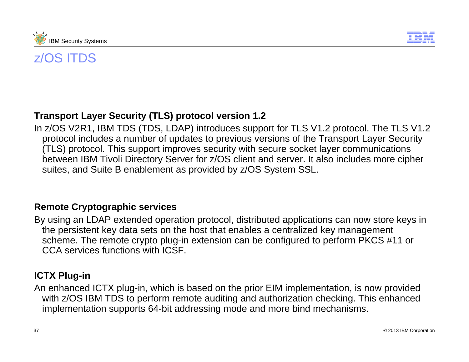



#### **Transport Layer Security (TLS) protocol version 1.2**

In z/OS V2R1, IBM TDS (TDS, LDAP) introduces support for TLS V1.2 protocol. The TLS V1.2 protocol includes a number of updates to previous versions of the Transport Layer Security (TLS) protocol. This support improves security with secure socket layer communications between IBM Tivoli Directory Server for z/OS client and server. It also includes more cipher suites, and Suite B enablement as provided by z/OS System SSL.

#### **Remote Cryptographic services**

By using an LDAP extended operation protocol, distributed applications can now store keys in the persistent key data sets on the host that enables a centralized key management scheme. The remote crypto plug-in extension can be configured to perform PKCS #11 or CCA services functions with ICSF.

#### **ICTX Plug-in**

An enhanced ICTX plug-in, which is based on the prior EIM implementation, is now provided with z/OS IBM TDS to perform remote auditing and authorization checking. This enhanced implementation supports 64-bit addressing mode and more bind mechanisms.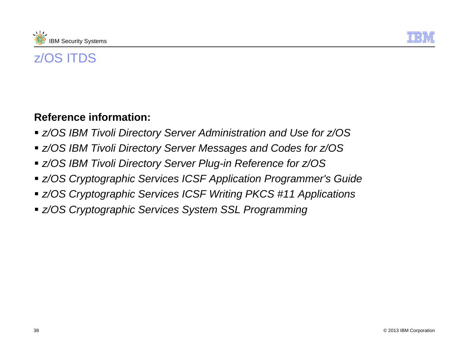



### **Reference information:**

- *z/OS IBM Tivoli Directory Server Administration and Use for z/OS*
- *z/OS IBM Tivoli Directory Server Messages and Codes for z/OS*
- *z/OS IBM Tivoli Directory Server Plug-in Reference for z/OS*
- *z/OS Cryptographic Services ICSF Application Programmer's Guide*
- *z/OS Cryptographic Services ICSF Writing PKCS #11 Applications*
- *z/OS Cryptographic Services System SSL Programming*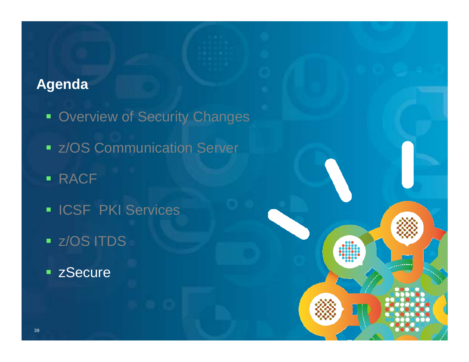## **Agenda**

- **Overview of Security Changes**
- **EXACTE COMMUNICATION Server**

© 2013 IBM Corporation

- RACF
- **ICSF PKI Services**
- z/OS ITDS
- **Example 2 Secure**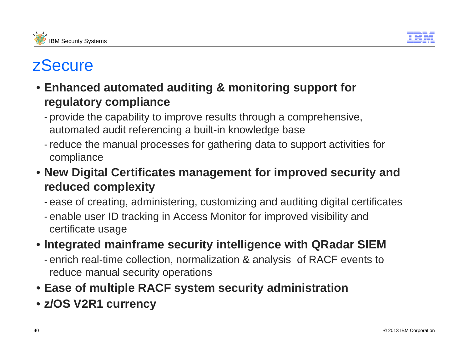



- **Enhanced automated auditing & monitoring support for regulatory compliance**
	- provide the capability to improve results through a comprehensive, automated audit referencing a built-in knowledge base
	- reduce the manual processes for gathering data to support activities for compliance
- **New Digital Certificates management for improved security and reduced complexity**
	- ease of creating, administering, customizing and auditing digital certificates
	- enable user ID tracking in Access Monitor for improved visibility and certificate usage
- **Integrated mainframe security intelligence with QRadar SIEM** 
	- enrich real-time collection, normalization & analysis of RACF events to reduce manual security operations
- **Ease of multiple RACF system security administration**
- **z/OS V2R1 currency**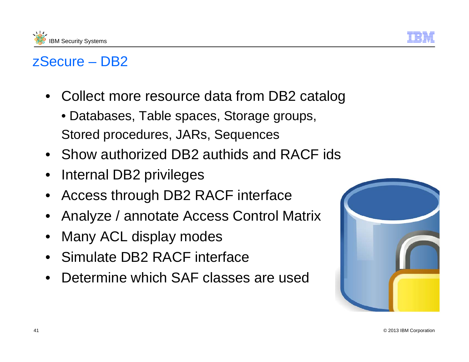



## zSecure – DB2

- $\bullet$  Collect more resource data from DB2 catalog
	- Databases, Table spaces, Storage groups, Stored procedures, JARs, Sequences
- Show authorized DB2 authids and RACF ids
- $\bullet$ Internal DB2 privileges
- •Access through DB2 RACF interface
- $\bullet$ Analyze / annotate Access Control Matrix
- $\bullet$ Many ACL display modes
- Simulate DB2 RACF interface
- $\bullet$ Determine which SAF classes are used

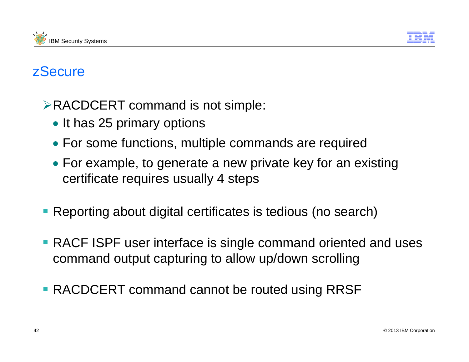



- ¾RACDCERT command is not simple:
	- It has 25 primary options
	- For some functions, multiple commands are required
	- For example, to generate a new private key for an existing certificate requires usually 4 steps
- **Reporting about digital certificates is tedious (no search)**
- **RACF ISPF user interface is single command oriented and uses** command output capturing to allow up/down scrolling
- **RACDCERT command cannot be routed using RRSF**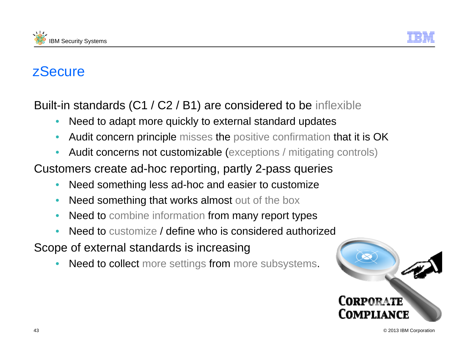



Built-in standards (C1 / C2 / B1) are considered to be inflexible

- $\bullet$ Need to adapt more quickly to external standard updates
- •Audit concern principle misses the positive confirmation that it is OK
- •Audit concerns not customizable (exceptions / mitigating controls)

Customers create ad-hoc reporting, partly 2-pass queries

- •Need something less ad-hoc and easier to customize
- •Need something that works almost out of the box
- •• Need to combine information from many report types
- •Need to customize / define who is considered authorized

Scope of external standards is increasing

•Need to collect more settings from more subsystems.

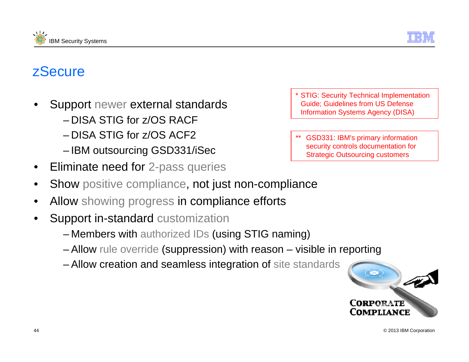



- • Support newer external standards
	- DISA STIG for z/OS RACF
	- DISA STIG for z/OS ACF2
	- IBM outsourcing GSD331/iSec
- $\bullet$ Eliminate need for 2-pass queries
- •Show positive compliance, not just non-compliance
- •Allow showing progress in compliance efforts
- • Support in-standard customization
	- Members with authorized IDs (using STIG naming)
	- Allow rule override (suppression) with reason visible in reporting
	- Allow creation and seamless integration of site standards

\* STIG: Security Technical Implementation Guide; Guidelines from US Defense Information Systems Agency (DISA)

\*\* GSD331: IBM's primary information security controls documentation for Strategic Outsourcing customers

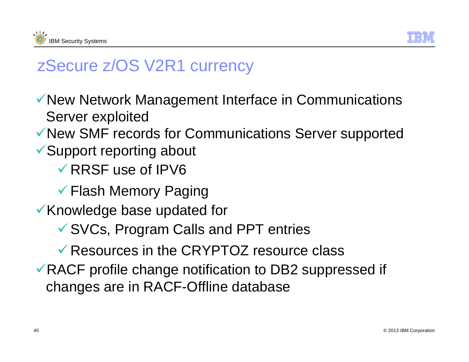



# zSecure z/OS V2R1 currency

- ◆ New Network Management Interface in Communications Server exploited
- $\checkmark$  New SMF records for Communications Server supported
- $\checkmark$  Support reporting about
	- $\sqrt{R}$ RRSF use of IPV6
	- $\checkmark$  Flash Memory Paging
- Knowledge base updated for
	- $\checkmark$  SVCs, Program Calls and PPT entries
	- $\sqrt{ }$  Resources in the CRYPTOZ resource class
- $\sqrt{R}$ RACF profile change notification to DB2 suppressed if changes are in RACF-Offline database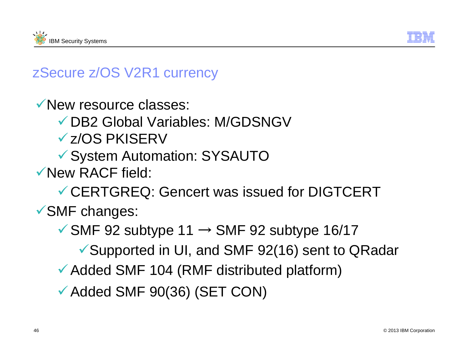



## zSecure z/OS V2R1 currency

 $\sqrt{\ }$ New resource classes:

▼ DB2 Global Variables: M/GDSNGV

√z/OS PKISERV

<sup>9</sup>System Automation: SYSAUTO

9New RACF field:

CERTGREQ: Gencert was issued for DIGTCERT

 $\checkmark$ SMF changes:

 $\checkmark$  SMF 92 subtype 11  $\to$  SMF 92 subtype 16/17

✔ Supported in UI, and SMF 92(16) sent to QRadar

 $\checkmark$  Added SMF 104 (RMF distributed platform)

 $\checkmark$  Added SMF 90(36) (SET CON)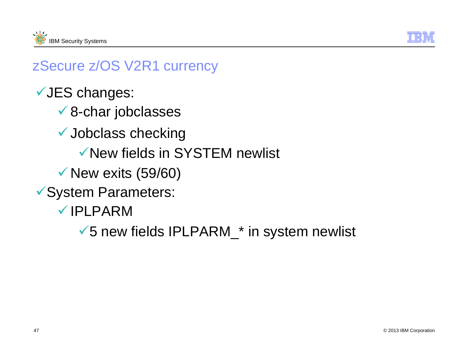



## zSecure z/OS V2R1 currency

- √JES changes:
	- $\sqrt{8}$ -char jobclasses
	- $\checkmark$  Jobclass checking
		- $\checkmark$  New fields in SYSTEM newlist
	- $\checkmark$  New exits (59/60)
- ◆ System Parameters:
	- **√IPLPARM** 
		- $\checkmark$  5 new fields IPLPARM\_\* in system newlist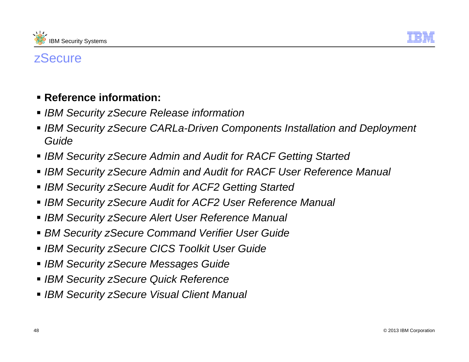



### **Reference information:**

- *IBM Security zSecure Release information*
- **IBM Security zSecure CARLa-Driven Components Installation and Deployment** *Guide*
- *IBM Security zSecure Admin and Audit for RACF Getting Started*
- *IBM Security zSecure Admin and Audit for RACF User Reference Manual*
- *IBM Security zSecure Audit for ACF2 Getting Started*
- *IBM Security zSecure Audit for ACF2 User Reference Manual*
- *IBM Security zSecure Alert User Reference Manual*
- *BM Security zSecure Command Verifier User Guide*
- *IBM Security zSecure CICS Toolkit User Guide*
- *IBM Security zSecure Messages Guide*
- *IBM Security zSecure Quick Reference*
- *IBM Security zSecure Visual Client Manual*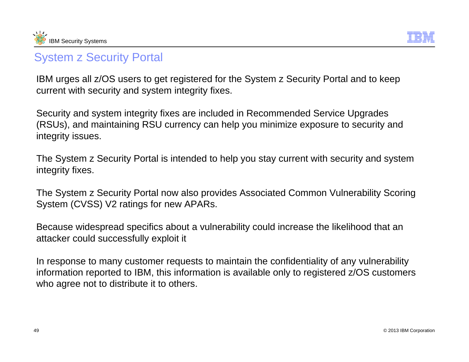



### System z Security Portal

IBM urges all z/OS users to get registered for the System z Security Portal and to keep current with security and system integrity fixes.

Security and system integrity fixes are included in Recommended Service Upgrades (RSUs), and maintaining RSU currency can help you minimize exposure to security and integrity issues.

The System z Security Portal is intended to help you stay current with security and system integrity fixes.

The System z Security Portal now also provides Associated Common Vulnerability Scoring System (CVSS) V2 ratings for new APARs.

Because widespread specifics about a vulnerability could increase the likelihood that an attacker could successfully exploit it

In response to many customer requests to maintain the confidentiality of any vulnerability information reported to IBM, this information is available only to registered z/OS customers who agree not to distribute it to others.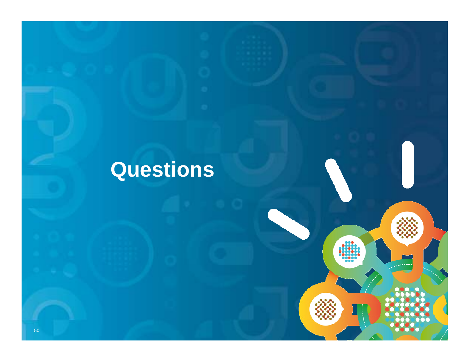# **Questions**

© 2013 IBM Corporation

 $\bullet\bullet\bullet$